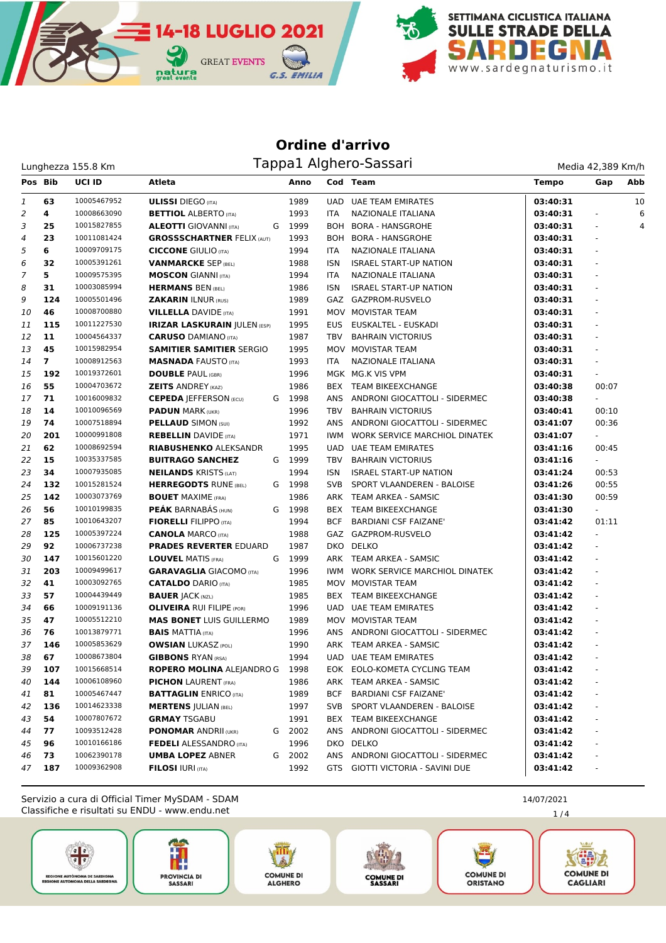

## **Ordine d'arrivo** Lunghezza 155.8 Km Magnetic Lunghezza 155.8 Km

| Media 42,389 Km/h |  |
|-------------------|--|

| Pos Bib        |                | <b>UCI ID</b> | Atleta                              |   | Anno   |            | Cod Team                          | <b>Tempo</b> | Gap            | Abb |
|----------------|----------------|---------------|-------------------------------------|---|--------|------------|-----------------------------------|--------------|----------------|-----|
| 1              | 63             | 10005467952   | <b>ULISSI</b> DIEGO (ITA)           |   | 1989   |            | <b>UAD UAE TEAM EMIRATES</b>      | 03:40:31     |                | 10  |
| 2              | 4              | 10008663090   | <b>BETTIOL ALBERTO (ITA)</b>        |   | 1993   | <b>ITA</b> | NAZIONALE ITALIANA                | 03:40:31     |                | 6   |
| 3              | 25             | 10015827855   | <b>ALEOTTI</b> GIOVANNI (ITA)       | G | 1999   |            | BOH BORA - HANSGROHE              | 03:40:31     |                | 4   |
| $\overline{4}$ | 23             | 10011081424   | <b>GROSSSCHARTNER FELIX (AUT)</b>   |   | 1993   |            | BOH BORA - HANSGROHE              | 03:40:31     |                |     |
| 5              | 6              | 10009709175   | <b>CICCONE</b> GIULIO (ITA)         |   | 1994   | ITA        | NAZIONALE ITALIANA                | 03:40:31     | ä,             |     |
| 6              | 32             | 10005391261   | <b>VANMARCKE SEP (BEL)</b>          |   | 1988   | ISN        | <b>ISRAEL START-UP NATION</b>     | 03:40:31     | $\Box$         |     |
| $\overline{7}$ | 5              | 10009575395   | <b>MOSCON GIANNI (ITA)</b>          |   | 1994   | <b>ITA</b> | NAZIONALE ITALIANA                | 03:40:31     | $\bar{a}$      |     |
| 8              | 31             | 10003085994   | <b>HERMANS BEN (BEL)</b>            |   | 1986   | <b>ISN</b> | <b>ISRAEL START-UP NATION</b>     | 03:40:31     |                |     |
| 9              | 124            | 10005501496   | <b>ZAKARIN ILNUR (RUS)</b>          |   | 1989   |            | GAZ GAZPROM-RUSVELO               | 03:40:31     |                |     |
| 10             | 46             | 10008700880   | <b>VILLELLA</b> DAVIDE (ITA)        |   | 1991   |            | MOV MOVISTAR TEAM                 | 03:40:31     |                |     |
| 11             | 115            | 10011227530   | <b>IRIZAR LASKURAIN JULEN (ESP)</b> |   | 1995   | EUS        | EUSKALTEL - EUSKADI               | 03:40:31     | ä,             |     |
| 12             | 11             | 10004564337   | <b>CARUSO DAMIANO (ITA)</b>         |   | 1987   | TBV        | <b>BAHRAIN VICTORIUS</b>          | 03:40:31     |                |     |
| 13             | 45             | 10015982954   | <b>SAMITIER SAMITIER SERGIO</b>     |   | 1995   |            | MOV MOVISTAR TEAM                 | 03:40:31     | $\blacksquare$ |     |
| 14             | $\overline{ }$ | 10008912563   | <b>MASNADA FAUSTO (ITA)</b>         |   | 1993   | ITA        | NAZIONALE ITALIANA                | 03:40:31     | ÷,             |     |
| 15             | 192            | 10019372601   | <b>DOUBLE PAUL (GBR)</b>            |   | 1996   |            | MGK MG.K VIS VPM                  | 03:40:31     |                |     |
| 16             | 55             | 10004703672   | <b>ZEITS ANDREY (KAZ)</b>           |   | 1986   |            | BEX TEAM BIKEEXCHANGE             | 03:40:38     | 00:07          |     |
| 17             | 71             | 10016009832   | <b>CEPEDA JEFFERSON (ECU)</b>       |   | G 1998 |            | ANS ANDRONI GIOCATTOLI - SIDERMEC | 03:40:38     |                |     |
| 18             | 14             | 10010096569   | <b>PADUN MARK (UKR)</b>             |   | 1996   | TBV        | <b>BAHRAIN VICTORIUS</b>          | 03:40:41     | 00:10          |     |
| 19             | 74             | 10007518894   | <b>PELLAUD SIMON (SUI)</b>          |   | 1992   |            | ANS ANDRONI GIOCATTOLI - SIDERMEC | 03:41:07     | 00:36          |     |
| 20             | 201            | 10000991808   | <b>REBELLIN</b> DAVIDE (ITA)        |   | 1971   | IWM        | WORK SERVICE MARCHIOL DINATEK     | 03:41:07     |                |     |
| 21             | 62             | 10008692594   | <b>RIABUSHENKO ALEKSANDR</b>        |   | 1995   |            | UAD UAE TEAM EMIRATES             | 03:41:16     | 00:45          |     |
| 22             | 15             | 10035337585   | <b>BUITRAGO SANCHEZ</b>             |   | G 1999 | TBV        | <b>BAHRAIN VICTORIUS</b>          | 03:41:16     |                |     |
| 23             | 34             | 10007935085   | <b>NEILANDS KRISTS (LAT)</b>        |   | 1994   | ISN        | <b>ISRAEL START-UP NATION</b>     | 03:41:24     | 00:53          |     |
| 24             | 132            | 10015281524   | <b>HERREGODTS RUNE (BEL)</b>        |   | G 1998 | <b>SVB</b> | SPORT VLAANDEREN - BALOISE        | 03:41:26     | 00:55          |     |
| 25             | 142            | 10003073769   | <b>BOUET MAXIME (FRA)</b>           |   | 1986   |            | ARK TEAM ARKEA - SAMSIC           | 03:41:30     | 00:59          |     |
| 26             | 56             | 10010199835   | <b>PEAK BARNABAS (HUN)</b>          |   | G 1998 |            | BEX TEAM BIKEEXCHANGE             | 03:41:30     | $\blacksquare$ |     |
| 27             | 85             | 10010643207   | <b>FIORELLI</b> FILIPPO (ITA)       |   | 1994   | BCF        | <b>BARDIANI CSF FAIZANE'</b>      | 03:41:42     | 01:11          |     |
| 28             | 125            | 10005397224   | <b>CANOLA MARCO (ITA)</b>           |   | 1988   |            | GAZ GAZPROM-RUSVELO               | 03:41:42     | ÷.             |     |
| 29             | 92             | 10006737238   | <b>PRADES REVERTER EDUARD</b>       |   | 1987   |            | DKO DELKO                         | 03:41:42     | $\Box$         |     |
| 30             | 147            | 10015601220   | <b>LOUVEL MATIS (FRA)</b>           |   | G 1999 |            | ARK TEAM ARKEA - SAMSIC           | 03:41:42     | $\Box$         |     |
| 31             | 203            | 10009499617   | <b>GARAVAGLIA GIACOMO (ITA)</b>     |   | 1996   | IWM        | WORK SERVICE MARCHIOL DINATEK     | 03:41:42     | $\blacksquare$ |     |
| 32             | 41             | 10003092765   | <b>CATALDO DARIO (ITA)</b>          |   | 1985   |            | MOV MOVISTAR TEAM                 | 03:41:42     | $\blacksquare$ |     |
| 33             | 57             | 10004439449   | <b>BAUER JACK (NZL)</b>             |   | 1985   |            | BEX TEAM BIKEEXCHANGE             | 03:41:42     |                |     |
| 34             | 66             | 10009191136   | <b>OLIVEIRA RUI FILIPE (POR)</b>    |   | 1996   |            | UAD UAE TEAM EMIRATES             | 03:41:42     |                |     |
| 35             | 47             | 10005512210   | <b>MAS BONET LUIS GUILLERMO</b>     |   | 1989   |            | MOV MOVISTAR TEAM                 | 03:41:42     | ä,             |     |
| 36             | 76             | 10013879771   | <b>BAIS MATTIA (ITA)</b>            |   | 1996   |            | ANS ANDRONI GIOCATTOLI - SIDERMEC | 03:41:42     |                |     |
| 37             | 146            | 10005853629   | <b>OWSIAN LUKASZ (POL)</b>          |   | 1990   |            | ARK TEAM ARKEA - SAMSIC           | 03:41:42     |                |     |
| 38             | 67             | 10008673804   | <b>GIBBONS RYAN (RSA)</b>           |   | 1994   |            | <b>UAD UAE TEAM EMIRATES</b>      | 03:41:42     |                |     |
| 39             | 107            | 10015668514   | ROPERO MOLINA ALEJANDRO G           |   | 1998   |            | EOK EOLO-KOMETA CYCLING TEAM      | 03:41:42     |                |     |
| 40             | 144            | 10006108960   | <b>PICHON LAURENT (FRA)</b>         |   | 1986   |            | ARK TEAM ARKEA - SAMSIC           | 03:41:42     |                |     |
| 41             | 81             | 10005467447   | <b>BATTAGLIN</b> ENRICO (ITA)       |   | 1989   | BCF        | <b>BARDIANI CSF FAIZANE'</b>      | 03:41:42     |                |     |
| 42             | 136            | 10014623338   | <b>MERTENS JULIAN (BEL)</b>         |   | 1997   | SVB.       | SPORT VLAANDEREN - BALOISE        | 03:41:42     |                |     |
| 43             | 54             | 10007807672   | <b>GRMAY TSGABU</b>                 |   | 1991   |            | BEX TEAM BIKEEXCHANGE             | 03:41:42     |                |     |
| 44             | 77             | 10093512428   | <b>PONOMAR ANDRII (UKR)</b>         |   | G 2002 |            | ANS ANDRONI GIOCATTOLI - SIDERMEC | 03:41:42     |                |     |
| 45             | 96             | 10010166186   | <b>FEDELI ALESSANDRO</b> (ITA)      |   | 1996   |            | DKO DELKO                         | 03:41:42     |                |     |
| 46             | 73             | 10062390178   | <b>UMBA LOPEZ ABNER</b>             |   | G 2002 |            | ANS ANDRONI GIOCATTOLI - SIDERMEC | 03:41:42     |                |     |
| 47             | 187            | 10009362908   | <b>FILOSI IURI (ITA)</b>            |   | 1992   | GTS        | GIOTTI VICTORIA - SAVINI DUE      | 03:41:42     |                |     |
|                |                |               |                                     |   |        |            |                                   |              |                |     |

Classifiche e risultati su ENDU - www.endu.net Servizio a cura di Official Timer MySDAM - SDAM 14/07/2021













1 / 4

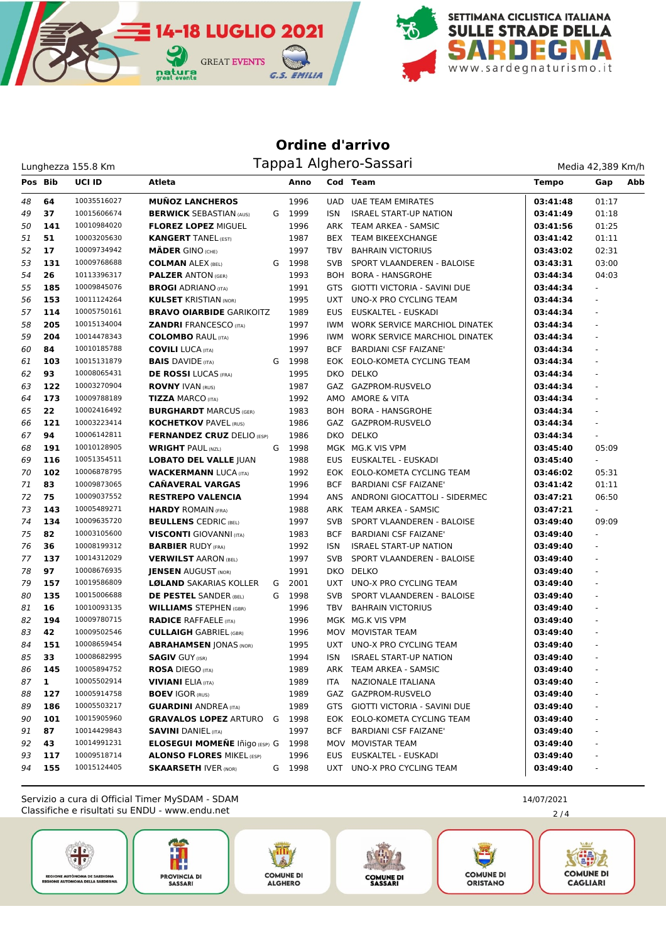

## **Ordine d'arrivo** Lunghezza 155.8 Km Magnus Tappa1 Alghero-Sassari

| Media 42,389 Km/h |
|-------------------|
|-------------------|

| Pos Bib |     | <b>UCI ID</b> | Atleta                               |   | Anno   |            | Cod Team                          | <b>Tempo</b> | Gap                      | Abb |
|---------|-----|---------------|--------------------------------------|---|--------|------------|-----------------------------------|--------------|--------------------------|-----|
| 48      | 64  | 10035516027   | <b>MUÑOZ LANCHEROS</b>               |   | 1996   |            | UAD UAE TEAM EMIRATES             | 03:41:48     | 01:17                    |     |
| 49      | 37  | 10015606674   | <b>BERWICK SEBASTIAN (AUS)</b>       |   | G 1999 | ISN        | <b>ISRAEL START-UP NATION</b>     | 03:41:49     | 01:18                    |     |
| 50      | 141 | 10010984020   | <b>FLOREZ LOPEZ MIGUEL</b>           |   | 1996   |            | ARK TEAM ARKEA - SAMSIC           | 03:41:56     | 01:25                    |     |
| 51      | 51  | 10003205630   | <b>KANGERT TANEL (EST)</b>           |   | 1987   |            | BEX TEAM BIKEEXCHANGE             | 03:41:42     | 01:11                    |     |
| 52      | 17  | 10009734942   | <b>MÄDER GINO (CHE)</b>              |   | 1997   | TBV        | <b>BAHRAIN VICTORIUS</b>          | 03:43:02     | 02:31                    |     |
| 53      | 131 | 10009768688   | <b>COLMAN ALEX (BEL)</b>             | G | 1998   | SVB        | SPORT VLAANDEREN - BALOISE        | 03:43:31     | 03:00                    |     |
| 54      | 26  | 10113396317   | <b>PALZER ANTON (GER)</b>            |   | 1993   |            | BOH BORA - HANSGROHE              | 03:44:34     | 04:03                    |     |
| 55      | 185 | 10009845076   | <b>BROGI</b> ADRIANO (ITA)           |   | 1991   |            | GTS GIOTTI VICTORIA - SAVINI DUE  | 03:44:34     |                          |     |
| 56      | 153 | 10011124264   | <b>KULSET KRISTIAN (NOR)</b>         |   | 1995   |            | UXT UNO-X PRO CYCLING TEAM        | 03:44:34     | ÷,                       |     |
| 57      | 114 | 10005750161   | <b>BRAVO OIARBIDE GARIKOITZ</b>      |   | 1989   | EUS        | EUSKALTEL - EUSKADI               | 03:44:34     | $\omega$                 |     |
| 58      | 205 | 10015134004   | <b>ZANDRI FRANCESCO (ITA)</b>        |   | 1997   | IWM        | WORK SERVICE MARCHIOL DINATEK     | 03:44:34     | $\blacksquare$           |     |
| 59      | 204 | 10014478343   | <b>COLOMBO RAUL (ITA)</b>            |   | 1996   | IWM        | WORK SERVICE MARCHIOL DINATEK     | 03:44:34     | $\blacksquare$           |     |
| 60      | 84  | 10010185788   | <b>COVILI LUCA (ITA)</b>             |   | 1997   | BCF        | <b>BARDIANI CSF FAIZANE'</b>      | 03:44:34     |                          |     |
| 61      | 103 | 10015131879   | <b>BAIS</b> DAVIDE (ITA)             | G | 1998   |            | EOK EOLO-KOMETA CYCLING TEAM      | 03:44:34     | ÷.                       |     |
| 62      | 93  | 10008065431   | <b>DE ROSSI</b> LUCAS (FRA)          |   | 1995   |            | DKO DELKO                         | 03:44:34     |                          |     |
| 63      | 122 | 10003270904   | <b>ROVNY IVAN (RUS)</b>              |   | 1987   |            | GAZ GAZPROM-RUSVELO               | 03:44:34     | ÷,                       |     |
| 64      | 173 | 10009788189   | <b>TIZZA MARCO (ITA)</b>             |   | 1992   |            | AMO AMORE & VITA                  | 03:44:34     | $\blacksquare$           |     |
| 65      | 22  | 10002416492   | <b>BURGHARDT MARCUS (GER)</b>        |   | 1983   |            | BOH BORA - HANSGROHE              | 03:44:34     | $\blacksquare$           |     |
| 66      | 121 | 10003223414   | <b>KOCHETKOV PAVEL (RUS)</b>         |   | 1986   |            | GAZ GAZPROM-RUSVELO               | 03:44:34     | $\overline{\phantom{a}}$ |     |
| 67      | 94  | 10006142811   | <b>FERNANDEZ CRUZ</b> DELIO (ESP)    |   | 1986   |            | DKO DELKO                         | 03:44:34     | ÷.                       |     |
| 68      | 191 | 10010128905   | <b>WRIGHT PAUL (NZL)</b>             | G | 1998   |            | MGK MG.K VIS VPM                  | 03:45:40     | 05:09                    |     |
| 69      | 116 | 10051354511   | <b>LOBATO DEL VALLE JUAN</b>         |   | 1988   |            | EUS EUSKALTEL - EUSKADI           | 03:45:40     |                          |     |
| 70      | 102 | 10006878795   | <b>WACKERMANN LUCA (ITA)</b>         |   | 1992   |            | EOK EOLO-KOMETA CYCLING TEAM      | 03:46:02     | 05:31                    |     |
| 71      | 83  | 10009873065   | <b>CAÑAVERAL VARGAS</b>              |   | 1996   | BCF        | <b>BARDIANI CSF FAIZANE'</b>      | 03:41:42     | 01:11                    |     |
| 72      | 75  | 10009037552   | <b>RESTREPO VALENCIA</b>             |   | 1994   |            | ANS ANDRONI GIOCATTOLI - SIDERMEC | 03:47:21     | 06:50                    |     |
| 73      | 143 | 10005489271   | <b>HARDY ROMAIN (FRA)</b>            |   | 1988   |            | ARK TEAM ARKEA - SAMSIC           | 03:47:21     | $\sim$                   |     |
| 74      | 134 | 10009635720   | <b>BEULLENS CEDRIC (BEL)</b>         |   | 1997   | SVB        | SPORT VLAANDEREN - BALOISE        | 03:49:40     | 09:09                    |     |
| 75      | 82  | 10003105600   | <b>VISCONTI</b> GIOVANNI (ITA)       |   | 1983   | <b>BCF</b> | <b>BARDIANI CSF FAIZANE'</b>      | 03:49:40     | $\omega$                 |     |
| 76      | 36  | 10008199312   | <b>BARBIER RUDY (FRA)</b>            |   | 1992   | ISN        | <b>ISRAEL START-UP NATION</b>     | 03:49:40     | ÷.                       |     |
| 77      | 137 | 10014312029   | <b>VERWILST AARON (BEL)</b>          |   | 1997   | SVB        | SPORT VLAANDEREN - BALOISE        | 03:49:40     | $\omega$                 |     |
| 78      | 97  | 10008676935   | <b>JENSEN AUGUST (NOR)</b>           |   | 1991   |            | DKO DELKO                         | 03:49:40     |                          |     |
| 79      | 157 | 10019586809   | <b>LØLAND SAKARIAS KOLLER</b>        | G | 2001   |            | UXT UNO-X PRO CYCLING TEAM        | 03:49:40     |                          |     |
| 80      | 135 | 10015006688   | <b>DE PESTEL SANDER (BEL)</b>        | G | 1998   |            | SVB SPORT VLAANDEREN - BALOISE    | 03:49:40     | ä,                       |     |
| 81      | 16  | 10010093135   | <b>WILLIAMS STEPHEN (GBR)</b>        |   | 1996   | TBV        | <b>BAHRAIN VICTORIUS</b>          | 03:49:40     |                          |     |
| 82      | 194 | 10009780715   | <b>RADICE RAFFAELE (ITA)</b>         |   | 1996   |            | MGK MG.K VIS VPM                  | 03:49:40     | $\overline{\phantom{a}}$ |     |
| 83      | 42  | 10009502546   | <b>CULLAIGH GABRIEL (GBR)</b>        |   | 1996   |            | MOV MOVISTAR TEAM                 | 03:49:40     | ÷,                       |     |
| 84      | 151 | 10008659454   | <b>ABRAHAMSEN JONAS (NOR)</b>        |   | 1995   |            | UXT UNO-X PRO CYCLING TEAM        | 03:49:40     |                          |     |
| 85      | 33  | 10008682995   | <b>SAGIV GUY (ISR)</b>               |   | 1994   | ISN        | <b>ISRAEL START-UP NATION</b>     | 03:49:40     |                          |     |
| 86      | 145 | 10005894752   | <b>ROSA DIEGO (ITA)</b>              |   | 1989   |            | ARK TEAM ARKEA - SAMSIC           | 03:49:40     | $\overline{\phantom{a}}$ |     |
| 87      | 1   | 10005502914   | <b>VIVIANI</b> ELIA (ITA)            |   | 1989   | ITA.       | NAZIONALE ITALIANA                | 03:49:40     |                          |     |
| 88      | 127 | 10005914758   | <b>BOEV IGOR (RUS)</b>               |   | 1989   |            | GAZ GAZPROM-RUSVELO               | 03:49:40     |                          |     |
| 89      | 186 | 10005503217   | <b>GUARDINI ANDREA (ITA)</b>         |   | 1989   | GTS        | GIOTTI VICTORIA - SAVINI DUE      | 03:49:40     |                          |     |
| 90      | 101 | 10015905960   | <b>GRAVALOS LOPEZ ARTURO</b>         | G | 1998   |            | EOK EOLO-KOMETA CYCLING TEAM      | 03:49:40     |                          |     |
| 91      | 87  | 10014429843   | <b>SAVINI DANIEL (ITA)</b>           |   | 1997   | <b>BCF</b> | <b>BARDIANI CSF FAIZANE'</b>      | 03:49:40     |                          |     |
| 92      | 43  | 10014991231   | <b>ELOSEGUI MOMEÑE Iñigo (ESP)</b> G |   | 1998   |            | MOV MOVISTAR TEAM                 | 03:49:40     |                          |     |
| 93      | 117 | 10009518714   | <b>ALONSO FLORES MIKEL (ESP)</b>     |   | 1996   | EUS.       | EUSKALTEL - EUSKADI               | 03:49:40     |                          |     |
| 94      | 155 | 10015124405   | <b>SKAARSETH IVER (NOR)</b>          |   | G 1998 | UXT        | UNO-X PRO CYCLING TEAM            | 03:49:40     |                          |     |

Classifiche e risultati su ENDU - www.endu.net Servizio a cura di Official Timer MySDAM - SDAM 14/07/2021

2 / 4











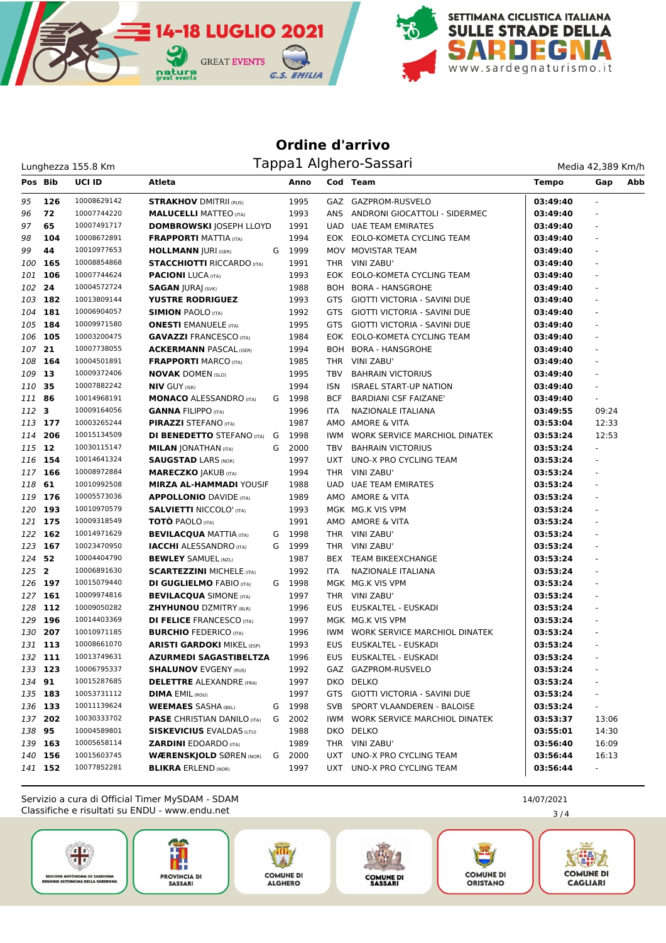

## **Ordine d'arrivo** Lunghezza 155.8 Km de Tappa1 Alghero-Sassari

**GREAT EVENTS** 

natura

| Media 42,389 Km/h |  |
|-------------------|--|
|                   |  |

| Pos Bib |         | <b>UCI ID</b> | Atleta                             |   | Anno   |            | Cod Team                            | <b>Tempo</b> | Gap<br>Abb     |
|---------|---------|---------------|------------------------------------|---|--------|------------|-------------------------------------|--------------|----------------|
| 95      | 126     | 10008629142   | <b>STRAKHOV DMITRII (RUS)</b>      |   | 1995   |            | GAZ GAZPROM-RUSVELO                 | 03:49:40     |                |
| 96      | 72      | 10007744220   | <b>MALUCELLI MATTEO (ITA)</b>      |   | 1993   |            | ANS ANDRONI GIOCATTOLI - SIDERMEC   | 03:49:40     | ÷.             |
| 97      | 65      | 10007491717   | <b>DOMBROWSKI JOSEPH LLOYD</b>     |   | 1991   | UAD.       | <b>UAE TEAM EMIRATES</b>            | 03:49:40     |                |
| 98      | 104     | 10008672891   | <b>FRAPPORTI MATTIA (ITA)</b>      |   | 1994   |            | EOK EOLO-KOMETA CYCLING TEAM        | 03:49:40     | ٠              |
| 99      | 44      | 10010977653   | <b>HOLLMANN JURI (GER)</b>         | G | 1999   |            | MOV MOVISTAR TEAM                   | 03:49:40     |                |
| 100     | 165     | 10008854868   | <b>STACCHIOTTI RICCARDO (ITA)</b>  |   | 1991   |            | THR VINI ZABU'                      | 03:49:40     |                |
| 101     | 106     | 10007744624   | <b>PACIONI</b> LUCA (ITA)          |   | 1993   |            | EOK EOLO-KOMETA CYCLING TEAM        | 03:49:40     |                |
| 102     | 24      | 10004572724   | <b>SAGAN JURAJ</b> (SVK)           |   | 1988   |            | BOH BORA - HANSGROHE                | 03:49:40     |                |
| 103     | 182     | 10013809144   | <b>YUSTRE RODRIGUEZ</b>            |   | 1993   | GTS        | GIOTTI VICTORIA - SAVINI DUE        | 03:49:40     |                |
| 104     | 181     | 10006904057   | <b>SIMION PAOLO (ITA)</b>          |   | 1992   | <b>GTS</b> | <b>GIOTTI VICTORIA - SAVINI DUE</b> | 03:49:40     |                |
|         | 105 184 | 10009971580   | <b>ONESTI</b> EMANUELE (ITA)       |   | 1995   | <b>GTS</b> | GIOTTI VICTORIA - SAVINI DUE        | 03:49:40     |                |
| 106 105 |         | 10003200475   | <b>GAVAZZI FRANCESCO (ITA)</b>     |   | 1984   | EOK        | EOLO-KOMETA CYCLING TEAM            | 03:49:40     |                |
| 107     | 21      | 10007738055   | <b>ACKERMANN PASCAL (GER)</b>      |   | 1994   |            | BOH BORA - HANSGROHE                | 03:49:40     |                |
| 108     | 164     | 10004501891   | <b>FRAPPORTI MARCO (ITA)</b>       |   | 1985   |            | THR VINI ZABU'                      | 03:49:40     | ÷.             |
| 109     | -13     | 10009372406   | <b>NOVAK DOMEN (SLO)</b>           |   | 1995   | TBV        | <b>BAHRAIN VICTORIUS</b>            | 03:49:40     | ÷.             |
| 110     | 35      | 10007882242   | <b>NIV GUY (ISR)</b>               |   | 1994   | ISN        | <b>ISRAEL START-UP NATION</b>       | 03:49:40     | ٠              |
| 111 86  |         | 10014968191   | <b>MONACO ALESSANDRO (ITA)</b>     | G | 1998   | <b>BCF</b> | <b>BARDIANI CSF FAIZANE'</b>        | 03:49:40     |                |
| 112     | 3       | 10009164056   | <b>GANNA FILIPPO (ITA)</b>         |   | 1996   | <b>ITA</b> | NAZIONALE ITALIANA                  | 03:49:55     | 09:24          |
|         | 113 177 | 10003265244   | <b>PIRAZZI STEFANO (ITA)</b>       |   | 1987   |            | AMO AMORE & VITA                    | 03:53:04     | 12:33          |
| 114     | 206     | 10015134509   | <b>DI BENEDETTO</b> STEFANO (ITA)  | G | 1998   | IWM        | WORK SERVICE MARCHIOL DINATEK       | 03:53:24     | 12:53          |
| 115 12  |         | 10030115147   | <b>MILAN JONATHAN (ITA)</b>        | G | 2000   | <b>TBV</b> | <b>BAHRAIN VICTORIUS</b>            | 03:53:24     | $\blacksquare$ |
|         | 116 154 | 10014641324   | <b>SAUGSTAD LARS (NOR)</b>         |   | 1997   | <b>UXT</b> | UNO-X PRO CYCLING TEAM              | 03:53:24     | $\frac{1}{2}$  |
|         | 117 166 | 10008972884   | <b>MARECZKO JAKUB (ITA)</b>        |   | 1994   |            | THR VINI ZABU'                      | 03:53:24     | ÷.             |
| 118 61  |         | 10010992508   | <b>MIRZA AL-HAMMADI YOUSIF</b>     |   | 1988   | UAD.       | <b>UAE TEAM EMIRATES</b>            | 03:53:24     |                |
|         | 119 176 | 10005573036   | <b>APPOLLONIO DAVIDE (ITA)</b>     |   | 1989   |            | AMO AMORE & VITA                    | 03:53:24     |                |
|         | 120 193 | 10010970579   | <b>SALVIETTI NICCOLO' (ITA)</b>    |   | 1993   |            | MGK MG.K VIS VPM                    | 03:53:24     | ÷.             |
|         | 121 175 | 10009318549   | <b>TOTO PAOLO (ITA)</b>            |   | 1991   |            | AMO AMORE & VITA                    | 03:53:24     | ÷.             |
|         | 122 162 | 10014971629   | <b>BEVILACQUA MATTIA (ITA)</b>     | G | 1998   |            | THR VINI ZABU'                      | 03:53:24     | ٠              |
| 123     | 167     | 10023470950   | <b>IACCHI</b> ALESSANDRO (ITA)     | G | 1999   |            | THR VINI ZABU'                      | 03:53:24     |                |
| 124     | 52      | 10004404790   | <b>BEWLEY SAMUEL (NZL)</b>         |   | 1987   |            | BEX TEAM BIKEEXCHANGE               | 03:53:24     |                |
| 125 2   |         | 10006891630   | <b>SCARTEZZINI MICHELE (ITA)</b>   |   | 1992   | <b>ITA</b> | NAZIONALE ITALIANA                  | 03:53:24     |                |
|         | 126 197 | 10015079440   | <b>DI GUGLIELMO FABIO (ITA)</b>    | G | 1998   |            | MGK MG.K VIS VPM                    | 03:53:24     |                |
|         | 127 161 | 10009974816   | <b>BEVILACQUA SIMONE (ITA)</b>     |   | 1997   |            | THR VINI ZABU'                      | 03:53:24     |                |
|         | 128 112 | 10009050282   | <b>ZHYHUNOU DZMITRY (BLR)</b>      |   | 1996   | <b>EUS</b> | EUSKALTEL - EUSKADI                 | 03:53:24     | ÷.             |
|         | 129 196 | 10014403369   | <b>DI FELICE FRANCESCO (ITA)</b>   |   | 1997   |            | MGK MG.K VIS VPM                    | 03:53:24     |                |
|         | 130 207 | 10010971185   | <b>BURCHIO</b> FEDERICO (ITA)      |   | 1996   | IWM        | WORK SERVICE MARCHIOL DINATEK       | 03:53:24     |                |
|         | 131 113 | 10008661070   | <b>ARISTI GARDOKI MIKEL (ESP)</b>  |   | 1993   | <b>EUS</b> | EUSKALTEL - EUSKADI                 | 03:53:24     |                |
|         | 132 111 | 10013749631   | <b>AZURMEDI SAGASTIBELTZA</b>      |   | 1996   | <b>EUS</b> | EUSKALTEL - EUSKADI                 | 03:53:24     |                |
|         | 133 123 | 10006795337   | <b>SHALUNOV EVGENY (RUS)</b>       |   | 1992   |            | GAZ GAZPROM-RUSVELO                 | 03:53:24     | ÷.             |
| 134 91  |         | 10015287685   | <b>DELETTRE ALEXANDRE (FRA)</b>    |   | 1997   |            | DKO DELKO                           | 03:53:24     | -              |
|         | 135 183 | 10053731112   | <b>DIMA EMIL (ROU)</b>             |   | 1997   | GTS        | GIOTTI VICTORIA - SAVINI DUE        | 03:53:24     |                |
|         | 136 133 | 10011139624   | <b>WEEMAES SASHA (BEL)</b>         | G | 1998   | SVB        | SPORT VLAANDEREN - BALOISE          | 03:53:24     | ۰              |
|         | 137 202 | 10030333702   | <b>PASE</b> CHRISTIAN DANILO (ITA) | G | 2002   |            | IWM WORK SERVICE MARCHIOL DINATEK   | 03:53:37     | 13:06          |
| 138 95  |         | 10004589801   | <b>SISKEVICIUS EVALDAS (LTU)</b>   |   | 1988   |            | DKO DELKO                           | 03:55:01     | 14:30          |
|         | 139 163 | 10005658114   | <b>ZARDINI EDOARDO (ITA)</b>       |   | 1989   |            | THR VINI ZABU'                      | 03:56:40     | 16:09          |
|         | 140 156 | 10015603745   | <b>WÆRENSKJOLD SØREN (NOR)</b>     |   | G 2000 | UXT        | UNO-X PRO CYCLING TEAM              | 03:56:44     | 16:13          |
|         | 141 152 | 10077852281   | <b>BLIKRA ERLEND (NOR)</b>         |   | 1997   |            | UXT UNO-X PRO CYCLING TEAM          | 03:56:44     | $\sim$         |

Classifiche e risultati su ENDU - www.endu.net Servizio a cura di Official Timer MySDAM - SDAM 14/07/2021















3 / 4